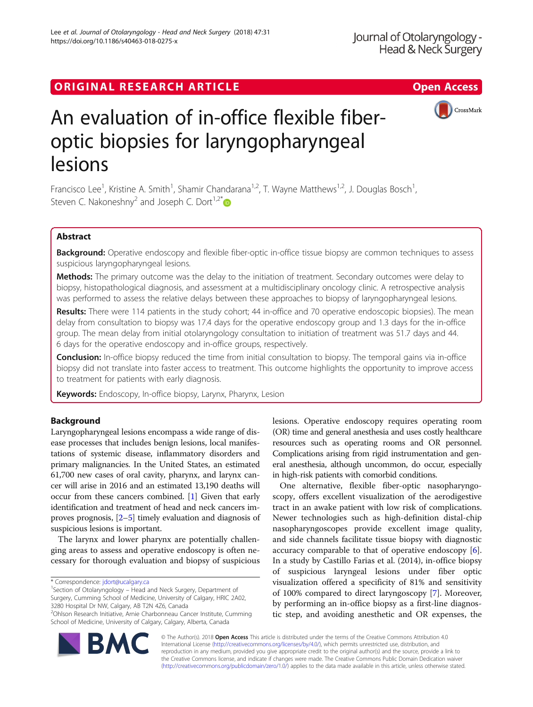# ORIGINAL RESEARCH ARTICLE **External of the Contract Contract Contract Contract Contract Contract Contract Contract Contract Contract Contract Contract Contract Contract Contract Contract Contract Contract Contract Contract**



# An evaluation of in-office flexible fiberoptic biopsies for laryngopharyngeal lesions

Francisco Lee<sup>1</sup>, Kristine A. Smith<sup>1</sup>, Shamir Chandarana<sup>1,2</sup>, T. Wayne Matthews<sup>1,2</sup>, J. Douglas Bosch<sup>1</sup> , Steven C. Nakoneshny<sup>2</sup> and Joseph C. Dort<sup>1,2[\\*](http://orcid.org/0000-0002-0858-187X)</sup>

# Abstract

Background: Operative endoscopy and flexible fiber-optic in-office tissue biopsy are common techniques to assess suspicious laryngopharyngeal lesions.

Methods: The primary outcome was the delay to the initiation of treatment. Secondary outcomes were delay to biopsy, histopathological diagnosis, and assessment at a multidisciplinary oncology clinic. A retrospective analysis was performed to assess the relative delays between these approaches to biopsy of laryngopharyngeal lesions.

Results: There were 114 patients in the study cohort; 44 in-office and 70 operative endoscopic biopsies). The mean delay from consultation to biopsy was 17.4 days for the operative endoscopy group and 1.3 days for the in-office group. The mean delay from initial otolaryngology consultation to initiation of treatment was 51.7 days and 44. 6 days for the operative endoscopy and in-office groups, respectively.

**Conclusion:** In-office biopsy reduced the time from initial consultation to biopsy. The temporal gains via in-office biopsy did not translate into faster access to treatment. This outcome highlights the opportunity to improve access to treatment for patients with early diagnosis.

Keywords: Endoscopy, In-office biopsy, Larynx, Pharynx, Lesion

# Background

Laryngopharyngeal lesions encompass a wide range of disease processes that includes benign lesions, local manifestations of systemic disease, inflammatory disorders and primary malignancies. In the United States, an estimated 61,700 new cases of oral cavity, pharynx, and larynx cancer will arise in 2016 and an estimated 13,190 deaths will occur from these cancers combined. [[1\]](#page-4-0) Given that early identification and treatment of head and neck cancers improves prognosis, [\[2](#page-4-0)–[5\]](#page-4-0) timely evaluation and diagnosis of suspicious lesions is important.

The larynx and lower pharynx are potentially challenging areas to assess and operative endoscopy is often necessary for thorough evaluation and biopsy of suspicious lesions. Operative endoscopy requires operating room (OR) time and general anesthesia and uses costly healthcare resources such as operating rooms and OR personnel. Complications arising from rigid instrumentation and general anesthesia, although uncommon, do occur, especially in high-risk patients with comorbid conditions.

One alternative, flexible fiber-optic nasopharyngoscopy, offers excellent visualization of the aerodigestive tract in an awake patient with low risk of complications. Newer technologies such as high-definition distal-chip nasopharyngoscopes provide excellent image quality, and side channels facilitate tissue biopsy with diagnostic accuracy comparable to that of operative endoscopy [\[6](#page-4-0)]. In a study by Castillo Farias et al. (2014), in-office biopsy of suspicious laryngeal lesions under fiber optic visualization offered a specificity of 81% and sensitivity of 100% compared to direct laryngoscopy [[7](#page-4-0)]. Moreover, by performing an in-office biopsy as a first-line diagnostic step, and avoiding anesthetic and OR expenses, the



© The Author(s). 2018 Open Access This article is distributed under the terms of the Creative Commons Attribution 4.0 International License [\(http://creativecommons.org/licenses/by/4.0/](http://creativecommons.org/licenses/by/4.0/)), which permits unrestricted use, distribution, and reproduction in any medium, provided you give appropriate credit to the original author(s) and the source, provide a link to the Creative Commons license, and indicate if changes were made. The Creative Commons Public Domain Dedication waiver [\(http://creativecommons.org/publicdomain/zero/1.0/](http://creativecommons.org/publicdomain/zero/1.0/)) applies to the data made available in this article, unless otherwise stated.

<sup>\*</sup> Correspondence: [jdort@ucalgary.ca](mailto:jdort@ucalgary.ca) <sup>1</sup>

<sup>&</sup>lt;sup>1</sup> Section of Otolaryngology – Head and Neck Surgery, Department of Surgery, Cumming School of Medicine, University of Calgary, HRIC 2A02, 3280 Hospital Dr NW, Calgary, AB T2N 4Z6, Canada

<sup>&</sup>lt;sup>2</sup>Ohlson Research Initiative, Arnie Charbonneau Cancer Institute, Cumming School of Medicine, University of Calgary, Calgary, Alberta, Canada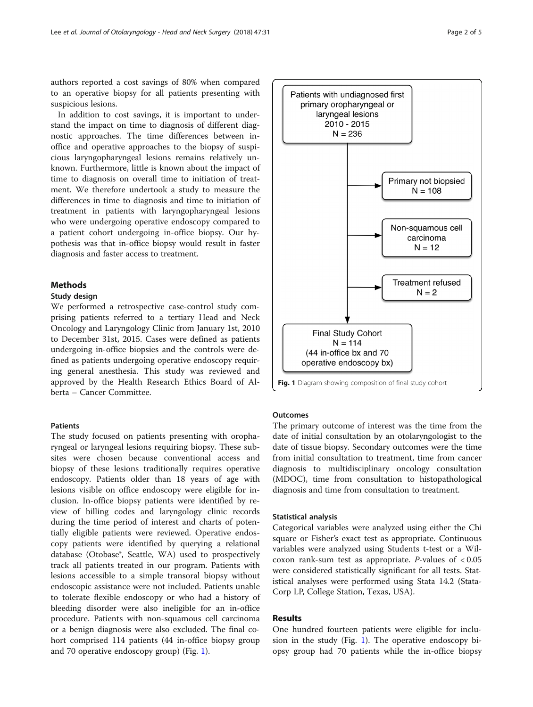authors reported a cost savings of 80% when compared to an operative biopsy for all patients presenting with suspicious lesions.

In addition to cost savings, it is important to understand the impact on time to diagnosis of different diagnostic approaches. The time differences between inoffice and operative approaches to the biopsy of suspicious laryngopharyngeal lesions remains relatively unknown. Furthermore, little is known about the impact of time to diagnosis on overall time to initiation of treatment. We therefore undertook a study to measure the differences in time to diagnosis and time to initiation of treatment in patients with laryngopharyngeal lesions who were undergoing operative endoscopy compared to a patient cohort undergoing in-office biopsy. Our hypothesis was that in-office biopsy would result in faster diagnosis and faster access to treatment.

## **Methods**

## Study design

We performed a retrospective case-control study comprising patients referred to a tertiary Head and Neck Oncology and Laryngology Clinic from January 1st, 2010 to December 31st, 2015. Cases were defined as patients undergoing in-office biopsies and the controls were defined as patients undergoing operative endoscopy requiring general anesthesia. This study was reviewed and approved by the Health Research Ethics Board of Alberta – Cancer Committee.

## Patients

The study focused on patients presenting with oropharyngeal or laryngeal lesions requiring biopsy. These subsites were chosen because conventional access and biopsy of these lesions traditionally requires operative endoscopy. Patients older than 18 years of age with lesions visible on office endoscopy were eligible for inclusion. In-office biopsy patients were identified by review of billing codes and laryngology clinic records during the time period of interest and charts of potentially eligible patients were reviewed. Operative endoscopy patients were identified by querying a relational database (Otobase®, Seattle, WA) used to prospectively track all patients treated in our program. Patients with lesions accessible to a simple transoral biopsy without endoscopic assistance were not included. Patients unable to tolerate flexible endoscopy or who had a history of bleeding disorder were also ineligible for an in-office procedure. Patients with non-squamous cell carcinoma or a benign diagnosis were also excluded. The final cohort comprised 114 patients (44 in-office biopsy group and 70 operative endoscopy group) (Fig. 1).



# **Outcomes**

The primary outcome of interest was the time from the date of initial consultation by an otolaryngologist to the date of tissue biopsy. Secondary outcomes were the time from initial consultation to treatment, time from cancer diagnosis to multidisciplinary oncology consultation (MDOC), time from consultation to histopathological diagnosis and time from consultation to treatment.

# Statistical analysis

Categorical variables were analyzed using either the Chi square or Fisher's exact test as appropriate. Continuous variables were analyzed using Students t-test or a Wilcoxon rank-sum test as appropriate.  $P$ -values of < 0.05 were considered statistically significant for all tests. Statistical analyses were performed using Stata 14.2 (Stata-Corp LP, College Station, Texas, USA).

# Results

One hundred fourteen patients were eligible for inclusion in the study (Fig. 1). The operative endoscopy biopsy group had 70 patients while the in-office biopsy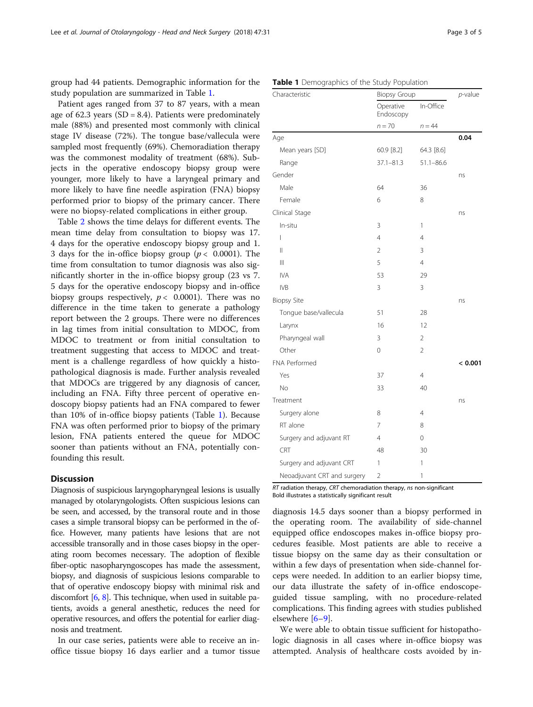group had 44 patients. Demographic information for the study population are summarized in Table 1.

Patient ages ranged from 37 to 87 years, with a mean age of 62.3 years (SD = 8.4). Patients were predominately male (88%) and presented most commonly with clinical stage IV disease (72%). The tongue base/vallecula were sampled most frequently (69%). Chemoradiation therapy was the commonest modality of treatment (68%). Subjects in the operative endoscopy biopsy group were younger, more likely to have a laryngeal primary and more likely to have fine needle aspiration (FNA) biopsy performed prior to biopsy of the primary cancer. There were no biopsy-related complications in either group.

Table [2](#page-3-0) shows the time delays for different events. The mean time delay from consultation to biopsy was 17. 4 days for the operative endoscopy biopsy group and 1. 3 days for the in-office biopsy group ( $p < 0.0001$ ). The time from consultation to tumor diagnosis was also significantly shorter in the in-office biopsy group (23 vs 7. 5 days for the operative endoscopy biopsy and in-office biopsy groups respectively,  $p < 0.0001$ ). There was no difference in the time taken to generate a pathology report between the 2 groups. There were no differences in lag times from initial consultation to MDOC, from MDOC to treatment or from initial consultation to treatment suggesting that access to MDOC and treatment is a challenge regardless of how quickly a histopathological diagnosis is made. Further analysis revealed that MDOCs are triggered by any diagnosis of cancer, including an FNA. Fifty three percent of operative endoscopy biopsy patients had an FNA compared to fewer than 10% of in-office biopsy patients (Table 1). Because FNA was often performed prior to biopsy of the primary lesion, FNA patients entered the queue for MDOC sooner than patients without an FNA, potentially confounding this result.

## **Discussion**

Diagnosis of suspicious laryngopharyngeal lesions is usually managed by otolaryngologists. Often suspicious lesions can be seen, and accessed, by the transoral route and in those cases a simple transoral biopsy can be performed in the office. However, many patients have lesions that are not accessible transorally and in those cases biopsy in the operating room becomes necessary. The adoption of flexible fiber-optic nasopharyngoscopes has made the assessment, biopsy, and diagnosis of suspicious lesions comparable to that of operative endoscopy biopsy with minimal risk and discomfort [[6](#page-4-0), [8\]](#page-4-0). This technique, when used in suitable patients, avoids a general anesthetic, reduces the need for operative resources, and offers the potential for earlier diagnosis and treatment.

In our case series, patients were able to receive an inoffice tissue biopsy 16 days earlier and a tumor tissue

| Characteristic              | <b>Biopsy Group</b>    |                       | p-value |
|-----------------------------|------------------------|-----------------------|---------|
|                             | Operative<br>Endoscopy | In-Office<br>$n = 44$ |         |
|                             | $n = 70$               |                       |         |
| Age                         |                        |                       | 0.04    |
| Mean years [SD]             | 60.9 [8.2]             | 64.3 [8.6]            |         |
| Range                       | $37.1 - 81.3$          | $51.1 - 86.6$         |         |
| Gender                      |                        |                       | ns      |
| Male                        | 64                     | 36                    |         |
| Female                      | 6                      | 8                     |         |
| Clinical Stage              |                        |                       | ns      |
| In-situ                     | 3                      | 1                     |         |
| $\overline{1}$              | $\overline{4}$         | $\overline{4}$        |         |
| $\mathsf{II}$               | $\overline{2}$         | 3                     |         |
| Ш                           | 5                      | $\overline{4}$        |         |
| <b>IVA</b>                  | 53                     | 29                    |         |
| <b>IVB</b>                  | 3                      | 3                     |         |
| <b>Biopsy Site</b>          |                        |                       | ns      |
| Tongue base/vallecula       | 51                     | 28                    |         |
| Larynx                      | 16                     | 12                    |         |
| Pharyngeal wall             | 3                      | 2                     |         |
| Other                       | 0                      | $\overline{2}$        |         |
| FNA Performed               |                        |                       | < 0.001 |
| Yes                         | 37                     | $\overline{4}$        |         |
| No                          | 33                     | 40                    |         |
| Treatment                   |                        |                       | ns      |
| Surgery alone               | 8                      | $\overline{4}$        |         |
| RT alone                    | 7                      | 8                     |         |
| Surgery and adjuvant RT     | 4                      | 0                     |         |
| CRT                         | 48                     | 30                    |         |
| Surgery and adjuvant CRT    | 1                      | 1                     |         |
| Neoadjuvant CRT and surgery | $\overline{c}$         | 1                     |         |

Table 1 Demographics of the Study Population

RT radiation therapy, CRT chemoradiation therapy, ns non-significant Bold illustrates a statistically significant result

diagnosis 14.5 days sooner than a biopsy performed in the operating room. The availability of side-channel equipped office endoscopes makes in-office biopsy procedures feasible. Most patients are able to receive a tissue biopsy on the same day as their consultation or within a few days of presentation when side-channel forceps were needed. In addition to an earlier biopsy time, our data illustrate the safety of in-office endoscopeguided tissue sampling, with no procedure-related complications. This finding agrees with studies published elsewhere [[6](#page-4-0)–[9](#page-4-0)].

We were able to obtain tissue sufficient for histopathologic diagnosis in all cases where in-office biopsy was attempted. Analysis of healthcare costs avoided by in-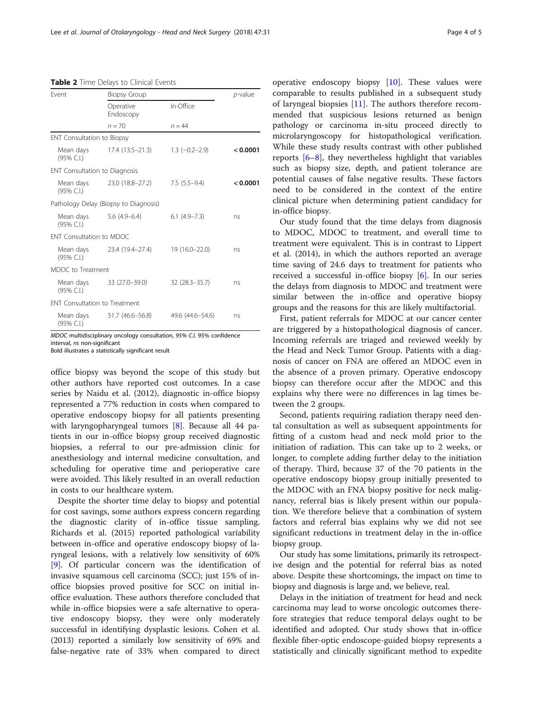<span id="page-3-0"></span>Table 2 Time Delays to Clinical Events

| Fvent                                 |                                   | <b>Biopsy Group</b>    |                  | <i>p</i> -value |  |  |  |
|---------------------------------------|-----------------------------------|------------------------|------------------|-----------------|--|--|--|
|                                       |                                   | Operative<br>Endoscopy | In-Office        |                 |  |  |  |
|                                       |                                   | $n = 70$               | $n = 44$         |                 |  |  |  |
|                                       | <b>ENT Consultation to Biopsy</b> |                        |                  |                 |  |  |  |
|                                       | Mean days<br>(95% C.I.)           | 17.4 (13.5–21.3)       | $1.3$ (-0.2-2.9) | < 0.0001        |  |  |  |
| ENT Consultation to Diagnosis         |                                   |                        |                  |                 |  |  |  |
|                                       | Mean days<br>(95% C.I.)           | 23.0 (18.8–27.2)       | $7.5(5.5-9.4)$   | < 0.0001        |  |  |  |
| Pathology Delay (Biopsy to Diagnosis) |                                   |                        |                  |                 |  |  |  |
|                                       | Mean days<br>(95% C.I.)           | $5.6(4.9-6.4)$         | $6.1(4.9-7.3)$   | ns              |  |  |  |
| FNT Consultation to MDOC              |                                   |                        |                  |                 |  |  |  |
|                                       | Mean days<br>(95% C.I.)           | 23.4 (19.4–27.4)       | 19 (16.0-22.0)   | ns              |  |  |  |
| MDOC to Treatment                     |                                   |                        |                  |                 |  |  |  |
|                                       | Mean days<br>(95% C.I.)           | 33 (27.0–39.0)         | 32 (28.3–35.7)   | ns              |  |  |  |
| <b>FNT Consultation to Treatment</b>  |                                   |                        |                  |                 |  |  |  |
|                                       | Mean days<br>(95% C.I.)           | 51.7 (46.6–56.8)       | 49.6 (44.6–54.6) | ns              |  |  |  |

MDOC multidisciplinary oncology consultation, 95% C.I. 95% confidence interval, ns non-significant

Bold illustrates a statistically significant result

office biopsy was beyond the scope of this study but other authors have reported cost outcomes. In a case series by Naidu et al. (2012), diagnostic in-office biopsy represented a 77% reduction in costs when compared to operative endoscopy biopsy for all patients presenting with laryngopharyngeal tumors [\[8\]](#page-4-0). Because all 44 patients in our in-office biopsy group received diagnostic biopsies, a referral to our pre-admission clinic for anesthesiology and internal medicine consultation, and scheduling for operative time and perioperative care were avoided. This likely resulted in an overall reduction in costs to our healthcare system.

Despite the shorter time delay to biopsy and potential for cost savings, some authors express concern regarding the diagnostic clarity of in-office tissue sampling. Richards et al. (2015) reported pathological variability between in-office and operative endoscopy biopsy of laryngeal lesions, with a relatively low sensitivity of 60% [[9\]](#page-4-0). Of particular concern was the identification of invasive squamous cell carcinoma (SCC); just 15% of inoffice biopsies proved positive for SCC on initial inoffice evaluation. These authors therefore concluded that while in-office biopsies were a safe alternative to operative endoscopy biopsy, they were only moderately successful in identifying dysplastic lesions. Cohen et al. (2013) reported a similarly low sensitivity of 69% and false-negative rate of 33% when compared to direct

operative endoscopy biopsy [[10](#page-4-0)]. These values were comparable to results published in a subsequent study of laryngeal biopsies [[11](#page-4-0)]. The authors therefore recommended that suspicious lesions returned as benign pathology or carcinoma in-situ proceed directly to microlaryngoscopy for histopathological verification. While these study results contrast with other published reports [\[6](#page-4-0)–[8](#page-4-0)], they nevertheless highlight that variables such as biopsy size, depth, and patient tolerance are potential causes of false negative results. These factors need to be considered in the context of the entire clinical picture when determining patient candidacy for in-office biopsy.

Our study found that the time delays from diagnosis to MDOC, MDOC to treatment, and overall time to treatment were equivalent. This is in contrast to Lippert et al. (2014), in which the authors reported an average time saving of 24.6 days to treatment for patients who received a successful in-office biopsy [\[6](#page-4-0)]. In our series the delays from diagnosis to MDOC and treatment were similar between the in-office and operative biopsy groups and the reasons for this are likely multifactorial.

First, patient referrals for MDOC at our cancer center are triggered by a histopathological diagnosis of cancer. Incoming referrals are triaged and reviewed weekly by the Head and Neck Tumor Group. Patients with a diagnosis of cancer on FNA are offered an MDOC even in the absence of a proven primary. Operative endoscopy biopsy can therefore occur after the MDOC and this explains why there were no differences in lag times between the 2 groups.

Second, patients requiring radiation therapy need dental consultation as well as subsequent appointments for fitting of a custom head and neck mold prior to the initiation of radiation. This can take up to 2 weeks, or longer, to complete adding further delay to the initiation of therapy. Third, because 37 of the 70 patients in the operative endoscopy biopsy group initially presented to the MDOC with an FNA biopsy positive for neck malignancy, referral bias is likely present within our population. We therefore believe that a combination of system factors and referral bias explains why we did not see significant reductions in treatment delay in the in-office biopsy group.

Our study has some limitations, primarily its retrospective design and the potential for referral bias as noted above. Despite these shortcomings, the impact on time to biopsy and diagnosis is large and, we believe, real.

Delays in the initiation of treatment for head and neck carcinoma may lead to worse oncologic outcomes therefore strategies that reduce temporal delays ought to be identified and adopted. Our study shows that in-office flexible fiber-optic endoscope-guided biopsy represents a statistically and clinically significant method to expedite